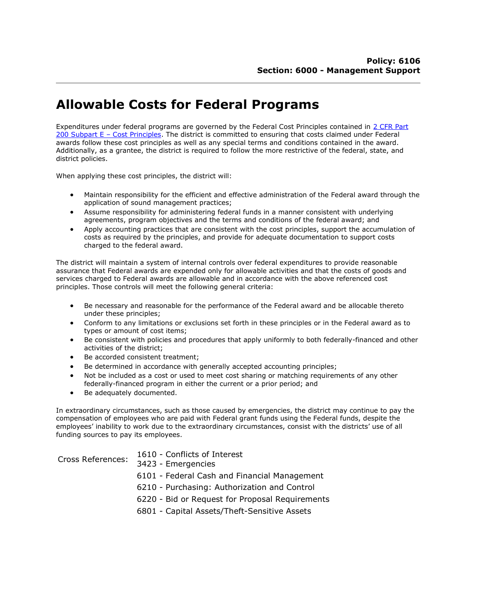## Allowable Costs for Federal Programs

Expenditures under federal programs are governed by the Federal Cost Principles contained in 2 CFR Part 200 Subpart E – Cost Principles. The district is committed to ensuring that costs claimed under Federal awards follow these cost principles as well as any special terms and conditions contained in the award. Additionally, as a grantee, the district is required to follow the more restrictive of the federal, state, and district policies.

When applying these cost principles, the district will:

- Maintain responsibility for the efficient and effective administration of the Federal award through the application of sound management practices;
- Assume responsibility for administering federal funds in a manner consistent with underlying agreements, program objectives and the terms and conditions of the federal award; and
- Apply accounting practices that are consistent with the cost principles, support the accumulation of costs as required by the principles, and provide for adequate documentation to support costs charged to the federal award.

The district will maintain a system of internal controls over federal expenditures to provide reasonable assurance that Federal awards are expended only for allowable activities and that the costs of goods and services charged to Federal awards are allowable and in accordance with the above referenced cost principles. Those controls will meet the following general criteria:

- Be necessary and reasonable for the performance of the Federal award and be allocable thereto under these principles;
- Conform to any limitations or exclusions set forth in these principles or in the Federal award as to types or amount of cost items;
- Be consistent with policies and procedures that apply uniformly to both federally-financed and other activities of the district;
- Be accorded consistent treatment;
- Be determined in accordance with generally accepted accounting principles;
- Not be included as a cost or used to meet cost sharing or matching requirements of any other federally-financed program in either the current or a prior period; and
- Be adequately documented.

In extraordinary circumstances, such as those caused by emergencies, the district may continue to pay the compensation of employees who are paid with Federal grant funds using the Federal funds, despite the employees' inability to work due to the extraordinary circumstances, consist with the districts' use of all funding sources to pay its employees.

| Cross References: | 1610 - Conflicts of Interest<br>3423 - Emergencies |
|-------------------|----------------------------------------------------|
|                   | 6101 - Federal Cash and Financial Management       |
|                   | 6210 - Purchasing: Authorization and Control       |
|                   | 6220 - Bid or Request for Proposal Requirements    |

6801 - Capital Assets/Theft-Sensitive Assets